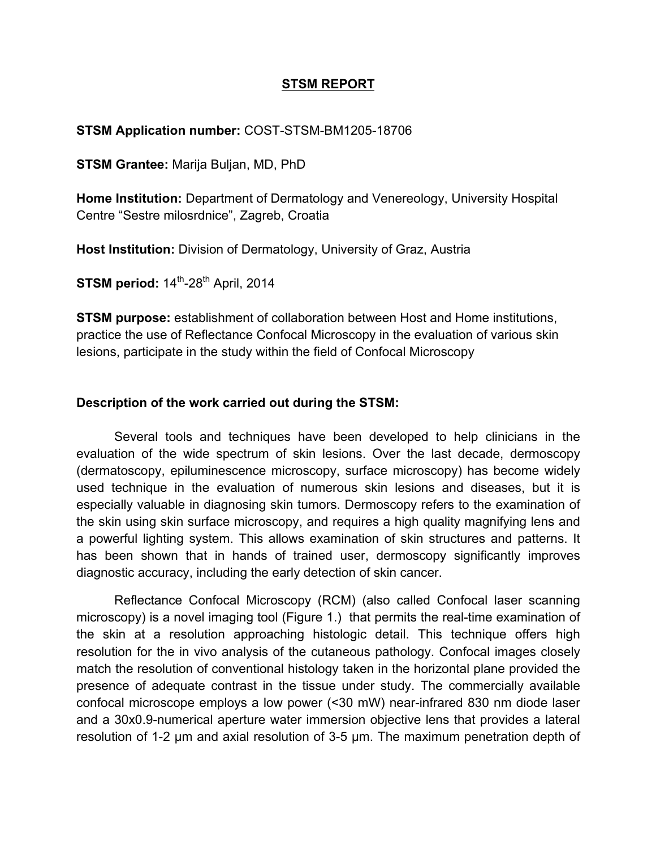# **STSM REPORT**

### **STSM Application number:** COST-STSM-BM1205-18706

**STSM Grantee:** Marija Buljan, MD, PhD

**Home Institution:** Department of Dermatology and Venereology, University Hospital Centre "Sestre milosrdnice", Zagreb, Croatia

**Host Institution:** Division of Dermatology, University of Graz, Austria

**STSM period:**  $14^{\text{th}}$ -28<sup>th</sup> April, 2014

**STSM purpose:** establishment of collaboration between Host and Home institutions, practice the use of Reflectance Confocal Microscopy in the evaluation of various skin lesions, participate in the study within the field of Confocal Microscopy

### **Description of the work carried out during the STSM:**

Several tools and techniques have been developed to help clinicians in the evaluation of the wide spectrum of skin lesions. Over the last decade, dermoscopy (dermatoscopy, epiluminescence microscopy, surface microscopy) has become widely used technique in the evaluation of numerous skin lesions and diseases, but it is especially valuable in diagnosing skin tumors. Dermoscopy refers to the examination of the skin using skin surface microscopy, and requires a high quality magnifying lens and a powerful lighting system. This allows examination of skin structures and patterns. It has been shown that in hands of trained user, dermoscopy significantly improves diagnostic accuracy, including the early detection of skin cancer.

Reflectance Confocal Microscopy (RCM) (also called Confocal laser scanning microscopy) is a novel imaging tool (Figure 1.) that permits the real-time examination of the skin at a resolution approaching histologic detail. This technique offers high resolution for the in vivo analysis of the cutaneous pathology. Confocal images closely match the resolution of conventional histology taken in the horizontal plane provided the presence of adequate contrast in the tissue under study. The commercially available confocal microscope employs a low power (<30 mW) near-infrared 830 nm diode laser and a 30x0.9-numerical aperture water immersion objective lens that provides a lateral resolution of 1-2 µm and axial resolution of 3-5 µm. The maximum penetration depth of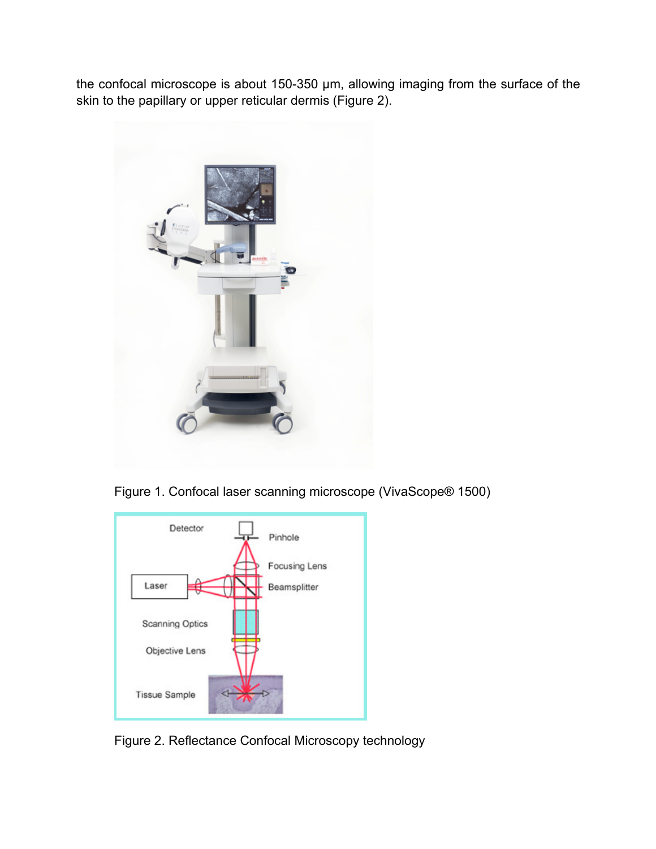the confocal microscope is about 150-350 µm, allowing imaging from the surface of the skin to the papillary or upper reticular dermis (Figure 2).



Figure 1. Confocal laser scanning microscope (VivaScope® 1500)



Figure 2. Reflectance Confocal Microscopy technology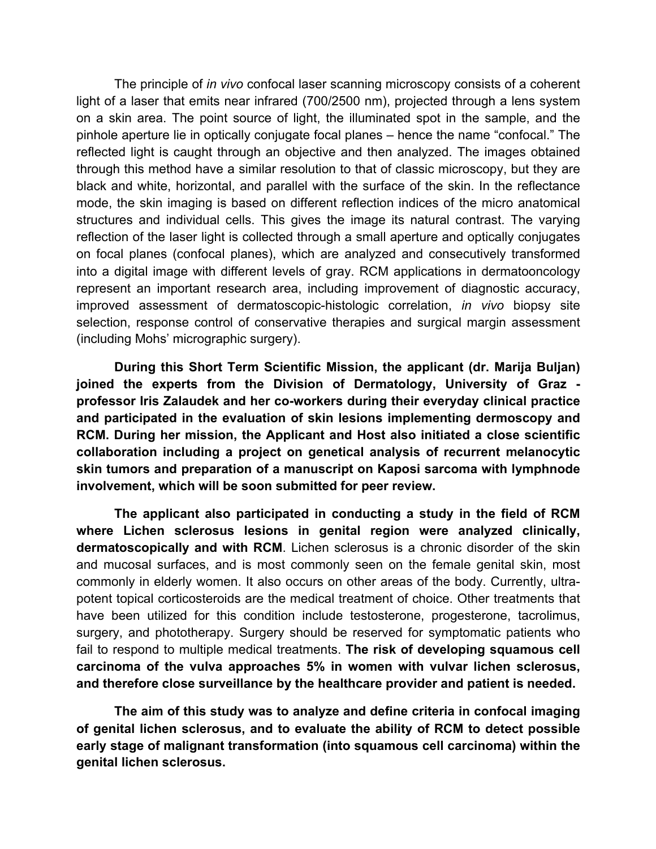The principle of *in vivo* confocal laser scanning microscopy consists of a coherent light of a laser that emits near infrared (700/2500 nm), projected through a lens system on a skin area. The point source of light, the illuminated spot in the sample, and the pinhole aperture lie in optically conjugate focal planes – hence the name "confocal." The reflected light is caught through an objective and then analyzed. The images obtained through this method have a similar resolution to that of classic microscopy, but they are black and white, horizontal, and parallel with the surface of the skin. In the reflectance mode, the skin imaging is based on different reflection indices of the micro anatomical structures and individual cells. This gives the image its natural contrast. The varying reflection of the laser light is collected through a small aperture and optically conjugates on focal planes (confocal planes), which are analyzed and consecutively transformed into a digital image with different levels of gray. RCM applications in dermatooncology represent an important research area, including improvement of diagnostic accuracy, improved assessment of dermatoscopic-histologic correlation, *in vivo* biopsy site selection, response control of conservative therapies and surgical margin assessment (including Mohs' micrographic surgery).

**During this Short Term Scientific Mission, the applicant (dr. Marija Buljan) joined the experts from the Division of Dermatology, University of Graz professor Iris Zalaudek and her co-workers during their everyday clinical practice and participated in the evaluation of skin lesions implementing dermoscopy and RCM. During her mission, the Applicant and Host also initiated a close scientific collaboration including a project on genetical analysis of recurrent melanocytic skin tumors and preparation of a manuscript on Kaposi sarcoma with lymphnode involvement, which will be soon submitted for peer review.** 

**The applicant also participated in conducting a study in the field of RCM where Lichen sclerosus lesions in genital region were analyzed clinically, dermatoscopically and with RCM**. Lichen sclerosus is a chronic disorder of the skin and mucosal surfaces, and is most commonly seen on the female genital skin, most commonly in elderly women. It also occurs on other areas of the body. Currently, ultrapotent topical corticosteroids are the medical treatment of choice. Other treatments that have been utilized for this condition include testosterone, progesterone, tacrolimus, surgery, and phototherapy. Surgery should be reserved for symptomatic patients who fail to respond to multiple medical treatments. **The risk of developing squamous cell carcinoma of the vulva approaches 5% in women with vulvar lichen sclerosus, and therefore close surveillance by the healthcare provider and patient is needed.**

**The aim of this study was to analyze and define criteria in confocal imaging of genital lichen sclerosus, and to evaluate the ability of RCM to detect possible early stage of malignant transformation (into squamous cell carcinoma) within the genital lichen sclerosus.**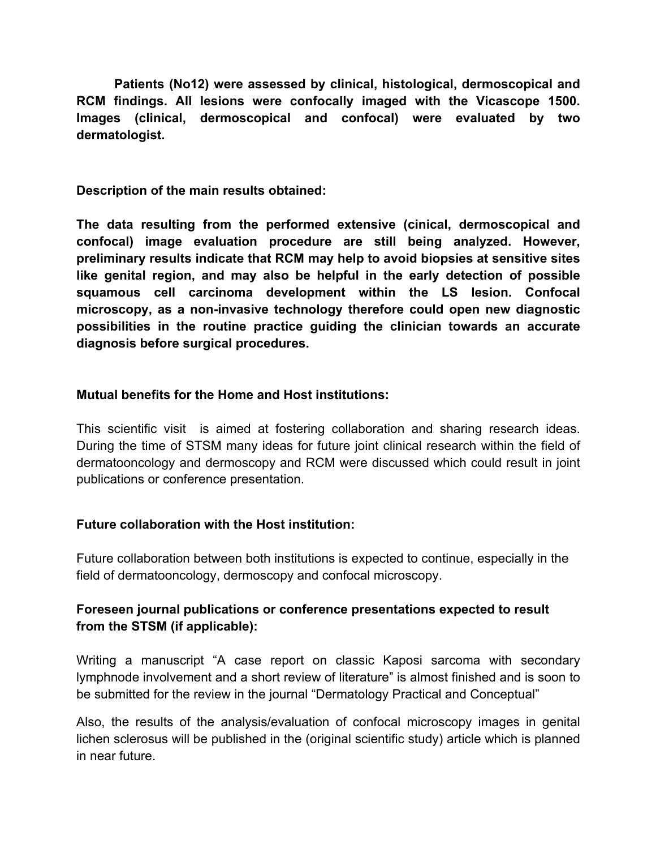**Patients (No12) were assessed by clinical, histological, dermoscopical and RCM findings. All lesions were confocally imaged with the Vicascope 1500. Images (clinical, dermoscopical and confocal) were evaluated by two dermatologist.** 

**Description of the main results obtained:**

**The data resulting from the performed extensive (cinical, dermoscopical and confocal) image evaluation procedure are still being analyzed. However, preliminary results indicate that RCM may help to avoid biopsies at sensitive sites like genital region, and may also be helpful in the early detection of possible squamous cell carcinoma development within the LS lesion. Confocal microscopy, as a non-invasive technology therefore could open new diagnostic possibilities in the routine practice guiding the clinician towards an accurate diagnosis before surgical procedures.**

# **Mutual benefits for the Home and Host institutions:**

This scientific visit is aimed at fostering collaboration and sharing research ideas. During the time of STSM many ideas for future joint clinical research within the field of dermatooncology and dermoscopy and RCM were discussed which could result in joint publications or conference presentation.

# **Future collaboration with the Host institution:**

Future collaboration between both institutions is expected to continue, especially in the field of dermatooncology, dermoscopy and confocal microscopy.

# **Foreseen journal publications or conference presentations expected to result from the STSM (if applicable):**

Writing a manuscript "A case report on classic Kaposi sarcoma with secondary lymphnode involvement and a short review of literature" is almost finished and is soon to be submitted for the review in the journal "Dermatology Practical and Conceptual"

Also, the results of the analysis/evaluation of confocal microscopy images in genital lichen sclerosus will be published in the (original scientific study) article which is planned in near future.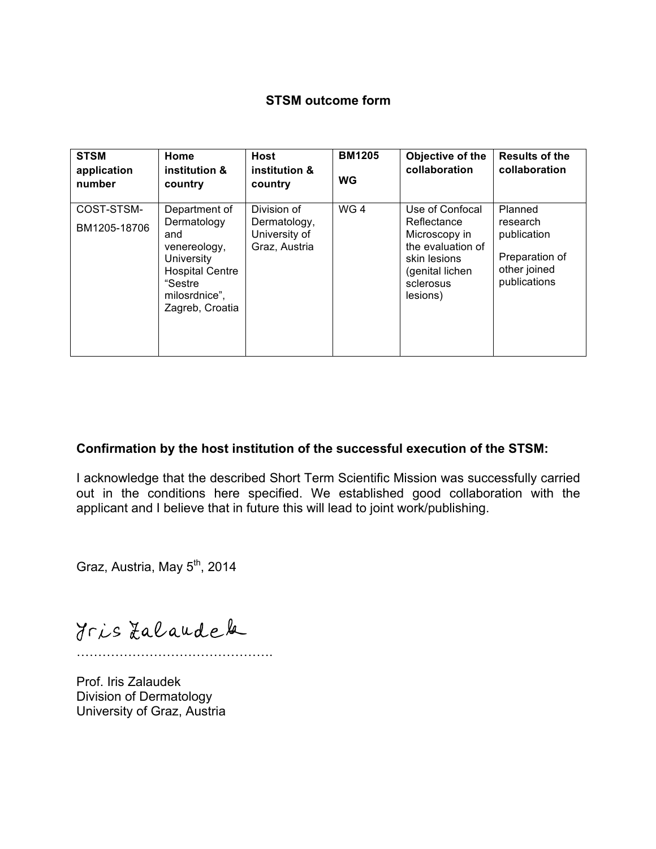## **STSM outcome form**

| <b>STSM</b><br>application<br>number | Home<br>institution &<br>country                                                                                                                  | <b>Host</b><br>institution &<br>country                       | <b>BM1205</b><br><b>WG</b> | Objective of the<br>collaboration                                                                                                | <b>Results of the</b><br>collaboration                                               |
|--------------------------------------|---------------------------------------------------------------------------------------------------------------------------------------------------|---------------------------------------------------------------|----------------------------|----------------------------------------------------------------------------------------------------------------------------------|--------------------------------------------------------------------------------------|
| COST-STSM-<br>BM1205-18706           | Department of<br>Dermatology<br>and<br>venereology,<br><b>University</b><br><b>Hospital Centre</b><br>"Sestre<br>milosrdnice",<br>Zagreb, Croatia | Division of<br>Dermatology,<br>University of<br>Graz, Austria | WG4                        | Use of Confocal<br>Reflectance<br>Microscopy in<br>the evaluation of<br>skin lesions<br>(genital lichen<br>sclerosus<br>lesions) | Planned<br>research<br>publication<br>Preparation of<br>other joined<br>publications |

## **Confirmation by the host institution of the successful execution of the STSM:**

I acknowledge that the described Short Term Scientific Mission was successfully carried out in the conditions here specified. We established good collaboration with the applicant and I believe that in future this will lead to joint work/publishing.

Graz, Austria, May 5<sup>th</sup>, 2014

Iris Zalaudek

………

Prof. Iris Zalaudek Division of Dermatology University of Graz, Austria